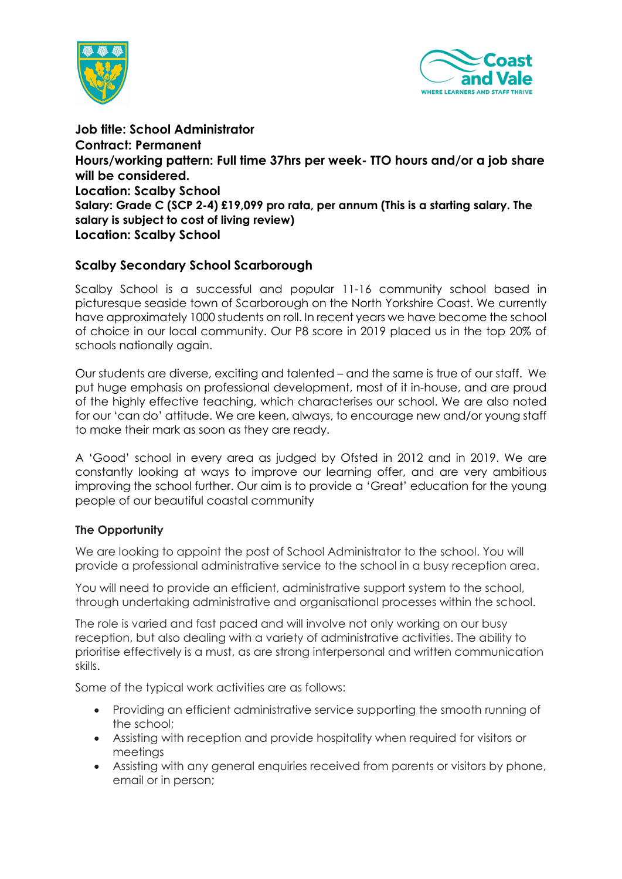



**Job title: School Administrator Contract: Permanent Hours/working pattern: Full time 37hrs per week- TTO hours and/or a job share will be considered. Location: Scalby School Salary: Grade C (SCP 2-4) £19,099 pro rata, per annum (This is a starting salary. The salary is subject to cost of living review) Location: Scalby School**

## **Scalby Secondary School Scarborough**

Scalby School is a successful and popular 11-16 community school based in picturesque seaside town of Scarborough on the North Yorkshire Coast. We currently have approximately 1000 students on roll. In recent years we have become the school of choice in our local community. Our P8 score in 2019 placed us in the top 20% of schools nationally again.

Our students are diverse, exciting and talented – and the same is true of our staff. We put huge emphasis on professional development, most of it in-house, and are proud of the highly effective teaching, which characterises our school. We are also noted for our 'can do' attitude. We are keen, always, to encourage new and/or young staff to make their mark as soon as they are ready.

A 'Good' school in every area as judged by Ofsted in 2012 and in 2019. We are constantly looking at ways to improve our learning offer, and are very ambitious improving the school further. Our aim is to provide a 'Great' education for the young people of our beautiful coastal community

## **The Opportunity**

We are looking to appoint the post of School Administrator to the school. You will provide a professional administrative service to the school in a busy reception area.

You will need to provide an efficient, administrative support system to the school, through undertaking administrative and organisational processes within the school.

The role is varied and fast paced and will involve not only working on our busy reception, but also dealing with a variety of administrative activities. The ability to prioritise effectively is a must, as are strong interpersonal and written communication skills.

Some of the typical work activities are as follows:

- Providing an efficient administrative service supporting the smooth running of the school;
- Assisting with reception and provide hospitality when required for visitors or meetings
- Assisting with any general enquiries received from parents or visitors by phone, email or in person;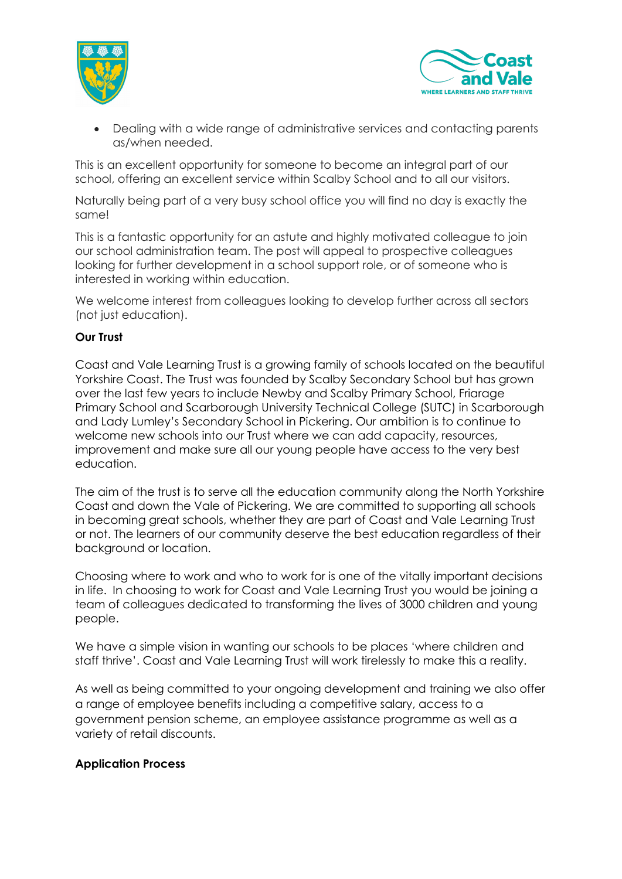



• Dealing with a wide range of administrative services and contacting parents as/when needed.

This is an excellent opportunity for someone to become an integral part of our school, offering an excellent service within Scalby School and to all our visitors.

Naturally being part of a very busy school office you will find no day is exactly the same!

This is a fantastic opportunity for an astute and highly motivated colleague to join our school administration team. The post will appeal to prospective colleagues looking for further development in a school support role, or of someone who is interested in working within education.

We welcome interest from colleagues looking to develop further across all sectors (not just education).

## **Our Trust**

Coast and Vale Learning Trust is a growing family of schools located on the beautiful Yorkshire Coast. The Trust was founded by Scalby Secondary School but has grown over the last few years to include Newby and Scalby Primary School, Friarage Primary School and Scarborough University Technical College (SUTC) in Scarborough and Lady Lumley's Secondary School in Pickering. Our ambition is to continue to welcome new schools into our Trust where we can add capacity, resources, improvement and make sure all our young people have access to the very best education.

The aim of the trust is to serve all the education community along the North Yorkshire Coast and down the Vale of Pickering. We are committed to supporting all schools in becoming great schools, whether they are part of Coast and Vale Learning Trust or not. The learners of our community deserve the best education regardless of their background or location.

Choosing where to work and who to work for is one of the vitally important decisions in life. In choosing to work for Coast and Vale Learning Trust you would be joining a team of colleagues dedicated to transforming the lives of 3000 children and young people.

We have a simple vision in wanting our schools to be places 'where children and staff thrive'. Coast and Vale Learning Trust will work tirelessly to make this a reality.

As well as being committed to your ongoing development and training we also offer a range of employee benefits including a competitive salary, access to a government pension scheme, an employee assistance programme as well as a variety of retail discounts.

## **Application Process**